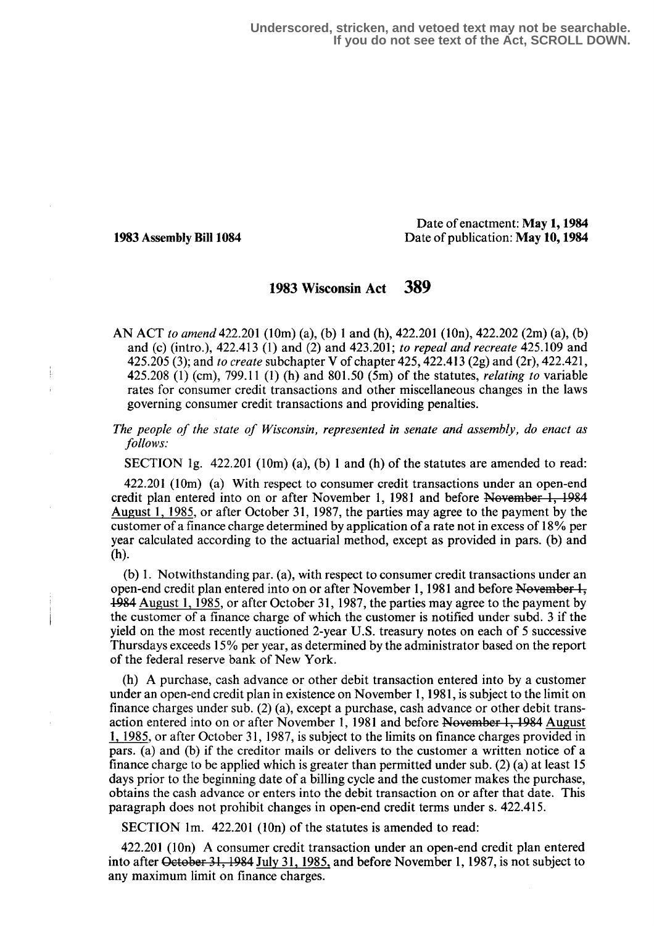**Underscored, stricken, and vetoed text may not be searchable. If you do not see text of the Act, SCROLL DOWN.**

Date of enactment: May 1, 1984 1983 Assembly Bill 1084 Date of publication: May 10, 1984

# 1983 Wisconsin Act 389

AN ACT to amend 422.201 (10m) (a), (b) 1 and (h), 422.201 (10n), 422.202 (2m) (a), (b) and (c) (intro.), 422.413 (1) and (2) and 423.201; to repeal and recreate 425.109 and 425.205 (3); and to create subchapter V of chapter 425, 422.413 (2g) and (2r), 422.421, 425.208 (1) (cm), 799.11 (1) (h) and 801 .50 (5m) of the statutes, relating to variable rates for consumer credit transactions and other miscellaneous changes in the laws governing consumer credit transactions and providing penalties.

The people of the state of Wisconsin, represented in senate and assembly, do enact as follows:

SECTION 1g.  $422.201$  (10m) (a), (b) 1 and (h) of the statutes are amended to read:

422.201 (10m) (a) With respect to consumer credit transactions under an open-end credit plan entered into on or after November 1, 1981 and before November 1, 1984 August 1, 1985 , or after October 31, 1987, the parties may agree to the payment by the customer of a finance charge determined by application of a rate not in excess of 18 % per year calculated according to the actuarial method, except as provided in gars. (b) and (h).

(b) 1 . Notwithstanding par. (a), with respect to consumer credit transactions under an open-end credit plan entered into on or after November 1, 1981 and before November  $\frac{1}{2}$ , -154 August 1, 1985 , or after October 31, 1987, the parties may agree to the payment by the customer of a finance charge of which the customer is notified under subd . 3 if the yield on the most recently auctioned 2-year U.S . treasury notes on each of 5 successive Thursdays exceeds 15% per year, as determined by the administrator based on the report of the federal reserve bank of New York .

(h) A purchase, cash advance or other debit transaction entered into by a customer under an open-end credit plan in existence on November 1, 1981, is subject to the limit on finance charges under sub. (2) (a), except a purchase, cash advance or other debit transaction entered into on or after November 1, 1981 and before November 1, 1984 August 1, 1955, or after October 31, 1487, is subject to the limits on finance charges provided in pars. (a) and (b) if the creditor mails or delivers to the customer a written notice of a finance charge to be applied which is greater than permitted under sub . (2) (a) at least I S days prior to the beginning date of a billing cycle and the customer makes the purchase, obtains the cash advance or enters into the debit transaction on or after that date. This paragraph does not prohibit changes in open-end credit terms under s. 422.415 .

SECTION lm. 422.201 (10n) of the statutes is amended to read:

422.201 (10n) A consumer credit transaction under an open-end credit plan entered into after October 31, 1984 July 31, 1985, and before November 1, 1987, is not subject to any maximum limit on finance charges.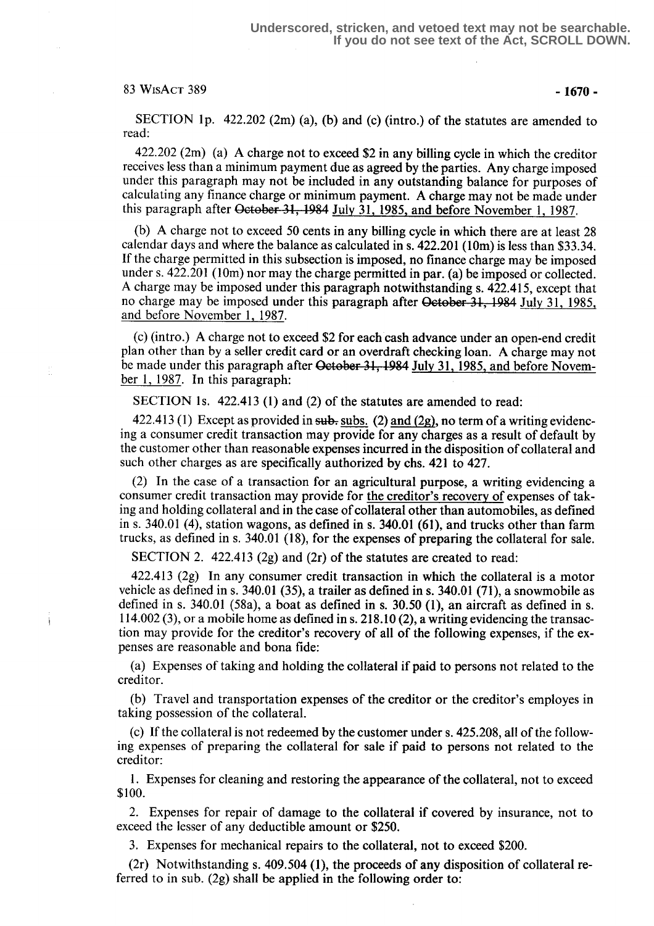### $83 \text{ WisAcr} 389$  -1670 -

SECTION 1p.  $422.202$  (2m) (a), (b) and (c) (intro.) of the statutes are amended to read:

422.202 (2m) (a) A charge not to exceed \$2 in any billing cycle in which the creditor receives less than a minimum payment due as agreed by the parties. Any charge imposed under this paragraph may not be included in any outstanding balance for purposes of calculating any finance charge or minimum payment. A charge may not be made under this paragraph after October 31, 1984 July 31, 1985, and before November 1, 1987.

(b) A charge not to exceed 50 cents in any billing cycle in which there are at least 28 calendar days and where the balance as calculated in s. 422.201 (10m) is less than \$33 .34. If the charge permitted in this subsection is imposed, no finance charge may be imposed under s. 422.201 (10m) nor may the charge permitted in par. (a) be imposed or collected. A charge may be imposed under this paragraph notwithstanding s. 422.415, except that no charge may be imposed under this paragraph after October 31, 1984 July 31, 1985. and before November 1, 1987.

(c) (intro .) A charge not to exceed \$2 for each cash advance under an open-end credit plan other than by a seller credit card or an overdraft checking loan. A charge may not be made under this paragraph after October 31, 1984 July 31, 1985, and before November 1, 1987. In this paragraph:

SECTION 1s. 422.413 (1) and (2) of the statutes are amended to read:

422.413 (1) Except as provided in subsaceuses (2) and (2g), no term of a writing evidencing a consumer credit transaction may provide for any charges as a result of default by the customer other than reasonable expenses incurred in the disposition of collateral and such other charges as are specifically authorized by chs. 421 to 427.

(2) In the case of a transaction for an agricultural purpose, a writing evidencing a consumer credit transaction may provide for the creditor's recovery of expenses of taking and holding collateral and in the case of collateral other than automobiles, as defined in s. 340.01 (4), station wagons, as defined in s. 340.01 (61), and trucks other than farm trucks, as defined in s. 340.01 (18), for the expenses of preparing the collateral for sale .

SECTION 2. 422.413 (2g) and (2r) of the statutes are created to read:

422.413 (2g) In any consumer credit transaction in which the collateral is a motor vehicle as defined in s. 340.01 (35), a trailer as defined in s. 340.01 (71), a snowmobile as defined in s. 340.01 (58a), a boat as defined in s. 30.50 (1), an aircraft as defined in s.  $114.002(3)$ , or a mobile home as defined in s. 218.10 (2), a writing evidencing the transaction may provide for the creditor's recovery of all of the following expenses, if the expenses are reasonable and bona fide:

(a) Expenses of taking and holding the collateral if paid to persons not related to the creditor.

(b) Travel and transportation expenses of the creditor or the creditor's employes in taking possession of the collateral.

(c) If the collateral is not redeemed by the customer under s. 425.208, all of the following expenses of preparing the collateral for sale if paid to persons not related to the creditor:

1. Expenses for cleaning and restoring the appearance of the collateral, not to exceed \$100.

2. Expenses for repair of damage to the collateral if covered by insurance, not to exceed the lesser of any deductible amount or \$250.

3. Expenses for mechanical repairs to the collateral, not to exceed \$200.

(2r) Notwithstanding s. 409.504 (1), the proceeds of any disposition of collateral referred to in sub. (2g) shall be applied in the following order to: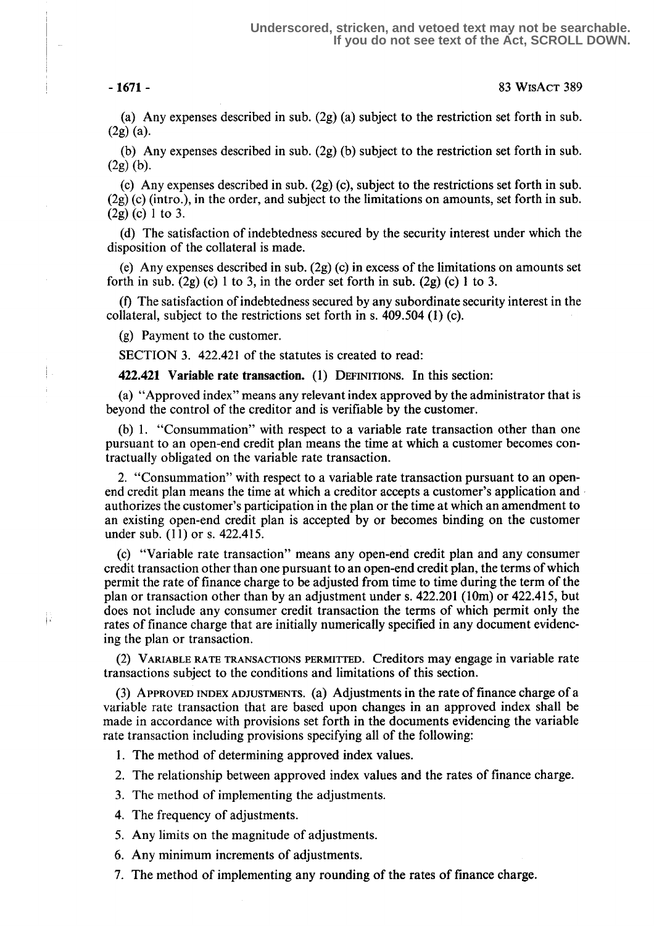Ť

 $\left| \cdot \right\rangle$ 

-1671- 83 WtsAcT 389

(a) Any expenses described in sub.  $(2g)$  (a) subject to the restriction set forth in sub.  $(2g)(a)$ .

(b) Any expenses described in sub. (2g) (b) subject to the restriction set forth in sub.  $(2g)(b)$ .

(c) Any expenses described in sub. (2g) (c), subject to the restrictions set forth in sub. (2g) (c) (intro .), in the order, and subject to the limitations on amounts, set forth in sub.  $(2g)$  (c) 1 to 3.

(d) The satisfaction of indebtedness secured by the security interest under which the disposition of the collateral is made.

(e) Any expenses described in sub. (2g) (c) in excess of the limitations on amounts set forth in sub.  $(2g)(c)$  1 to 3, in the order set forth in sub.  $(2g)(c)$  1 to 3.

(fl The satisfaction of indebtedness secured by any subordinate security interest in the collateral, subject to the restrictions set forth in s.  $409.504$  (1) (c).

(g) Payment to the customer.

SECTION 3. 422.421 of the statutes is created to read:

422.421 Variable rate transaction. (1) DEFINITIONS. In this section:

(a) "Approved index" means any relevant index approved by the administrator that is beyond the control of the creditor and is verifiable by the customer.

(b) 1. "Consummation" with respect to a variable rate transaction other than one pursuant to an open-end credit plan means the time at which a customer becomes contractually obligated on the variable rate transaction .

2. "Consummation" with respect to a variable rate transaction pursuant to an openend credit plan means the time at which a creditor accepts a customer's application and authorizes the customer's participation in the plan or the time at which an amendment to an existing open-end credit plan is accepted by or becomes binding on the customer under sub. (11) or s. 422.415.

(c) "Variable rate transaction" means any open-end credit plan and any consumer credit transaction other than one pursuant to an open-end credit plan, the terms of which permit the rate of finance charge to be adjusted from time to time during the term of the plan or transaction other than by an adjustment under s. 422.201 (10m) or 422.415, but does not include any consumer credit transaction the terms of which permit only the rates of finance charge that are initially numerically specified in any document evidencing the plan or transaction.

(2) VARIABLE RATE TRANSACTIONS PERMITTED. Creditors may engage in variable rate transactions subject to the conditions and limitations of this section.

(3) APPROVED INDEX ADJUSTMENTS. (a) Adjustments in the rate of finance charge of a variable rate transaction that are based upon changes in an approved index shall be made in accordance with provisions set forth in the documents evidencing the variable rate transaction including provisions specifying all of the following:

1. The method of determining approved index values.

2. The relationship between approved index values and the rates of finance charge.

3. The method of implementing the adjustments.

4. The frequency of adjustments.

5. Any limits on the magnitude of adjustments.

6. Any minimum increments of adjustments.

7. The method of implementing any rounding of the rates of finance charge .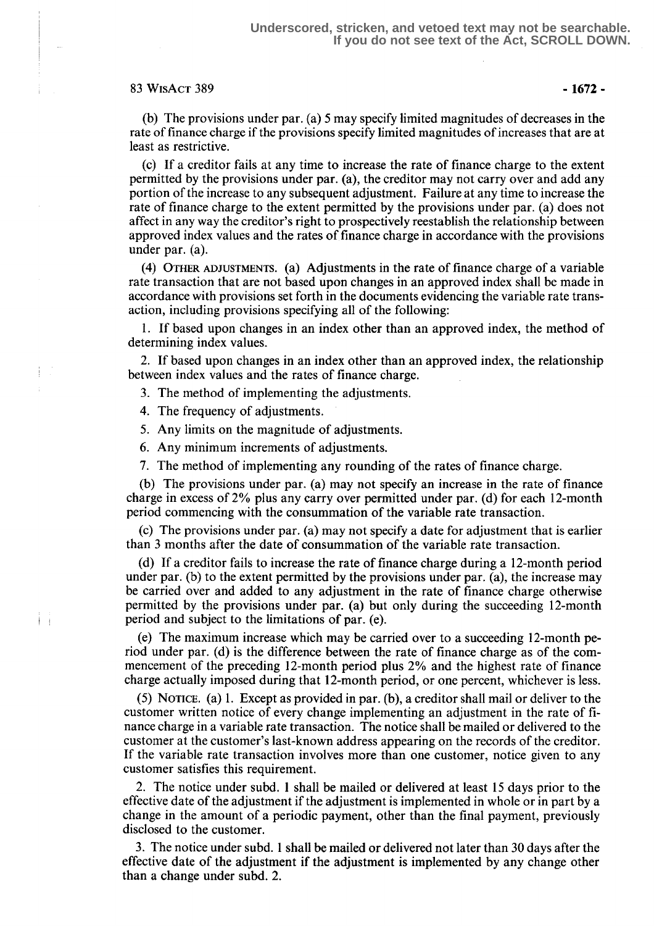### $83 \text{ WisAcr}$   $389 \text{ }$  -  $1672 -$

(b) The provisions under par . (a) 5 may specify limited magnitudes of decreases in the rate of finance charge if the provisions specify limited magnitudes of increases that are at least as restrictive.

(c) If a creditor fails at any time to increase the rate of finance charge to the extent permitted by the provisions under par. (a), the creditor may not carry over and add any portion of the increase to any subsequent adjustment. Failure at any time to increase the rate of finance charge to the extent permitted by the provisions under par. (a) does not affect in any way the creditor's right to prospectively reestablish the relationship between approved index values and the rates of finance charge in accordance with the provisions under par. (a).

(4) OTHER ADJUSTMENTS. (a) Adjustments in the rate of finance charge of a variable rate transaction that are not based upon changes in an approved index shall be made in accordance with provisions set forth in the documents evidencing the variable rate transaction, including provisions specifying all of the following:

<sup>1</sup> . If based upon changes in an index other than an approved index, the method of determining index values.

2. If based upon changes in an index other than an approved index, the relationship between index values and the rates of finance charge.

3. The method of implementing the adjustments.

4. The frequency of adjustments.

- 5. Any limits on the magnitude of adjustments.
- 6. Any minimum increments of adjustments.

7. The method of implementing any rounding of the rates of finance charge.

(b) The provisions under par, (a) may not specify an increase in the rate of finance charge in excess of 2% plus any carry over permitted under par. (d) for each 12-month period commencing with the consummation of the variable rate transaction.

(c) The provisions under par. (a) may not specify a date for adjustment that is earlier than 3 months after the date of consummation of the variable rate transaction.

(d) If a creditor fails to increase the rate of finance charge during a 12-month period under par. (b) to the extent permitted by the provisions under par. (a), the increase may be carried over and added to any adjustment in the rate of finance charge otherwise permitted by the provisions under par. (a) but only during the succeeding 12-month period and subject to the limitations of par. (e).

> (e) The maximum increase which may be carried over to a succeeding 12-month period under par. (d) is the difference between the rate of finance charge as of the commencement of the preceding 12-month period plus 2% and the highest rate of finance charge actually imposed during that 12-month period, or one percent, whichever is less.

> (5) NOTICE. (a) 1 . Except as provided in par. (b), a creditor shall mail or deliver to the customer written notice of every change implementing an adjustment in the rate of finance charge in a variable rate transaction. The notice shall be mailed or delivered to the customer at the customer's last-known address appearing on the records of the creditor. If the variable rate transaction involves more than one customer, notice given to any customer satisfies this requirement.

> 2. The notice under subd. 1 shall be mailed or delivered at least 15 days prior to the effective date of the adjustment if the adjustment is implemented in whole or in part by a change in the amount of a periodic payment, other than the final payment, previously disclosed to the customer.

> 3. The notice under subd. 1 shall be mailed or delivered not later than 30 days after the effective date of the adjustment if the adjustment is implemented by any change other than a change under subd. 2.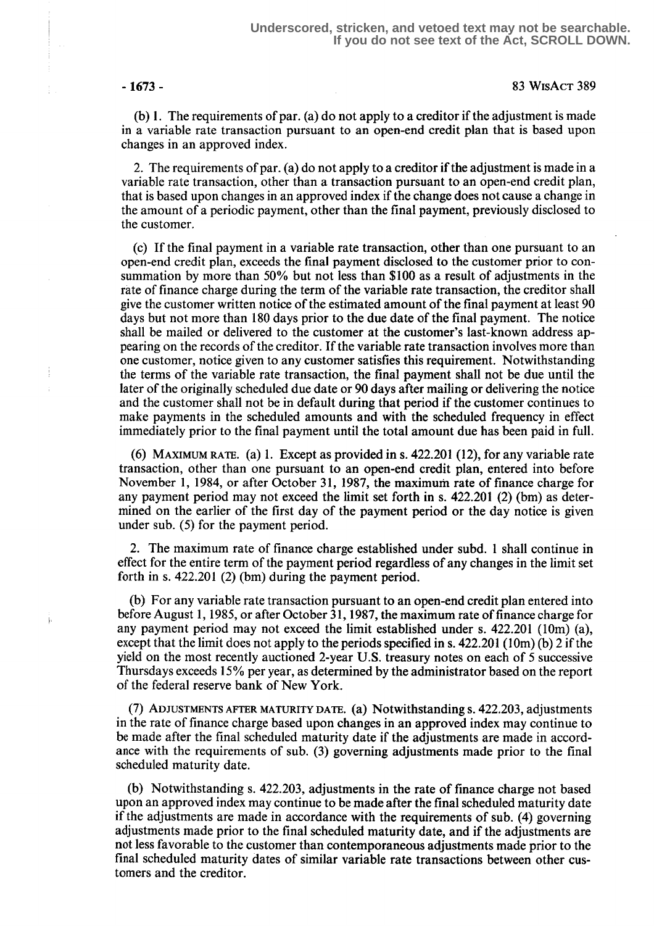Ť

þ

(b) 1 . The requirements of par. (a) do not apply to a creditor if the adjustment is made in a variable rate transaction pursuant to an open-end credit plan that is based upon changes in an approved index.

2. The requirements of par. (a) do not apply to a creditor if the adjustment is made in a variable rate transaction, other than a transaction pursuant to an open-end credit plan, that is based upon changes in an approved index if the change does not cause a change in the amount of a periodic payment, other than the final payment, previously disclosed to the customer.

(c) If the final payment in a variable rate transaction, other than one pursuant to an open-end credit plan, exceeds the final payment disclosed to the customer prior to consummation by more than 50% but not less than \$100 as a result of adjustments in the rate of finance charge during the term of the variable rate transaction, the creditor shall give the customer written notice of the estimated amount of the final payment at least 90 days but not more than 180 days prior to the due date of the final payment. The notice shall be mailed or delivered to the customer at the customer's last-known address appearing on the records of the creditor. If the variable rate transaction involves more than one customer, notice given to any customer satisfies this requirement. Notwithstanding the terms of the variable rate transaction, the final payment shall not be due until the later of the originally scheduled due date or 90 days after mailing or delivering the notice and the customer shall not be in default during that period if the customer continues to make payments in the scheduled amounts and with the scheduled frequency in effect immediately prior to the final payment until the total amount due has been paid in full.

(6) MAXIMUM RATE. (a) 1. Except as provided in s.  $422.201$  (12), for any variable rate transaction, other than one pursuant to an open-end credit plan, entered into before November 1, 1984, or after October 31, 1987, the maximum rate of finance charge for any payment period may not exceed the limit set forth in s. 422.201 (2) (bm) as determined on the earlier of the first day of the payment period or the day notice is given under sub. (5) for the payment period.

2. The maximum rate of finance charge established under subd. 1 shall continue in effect for the entire term of the payment period regardless of any changes in the limit set forth in s. 422.201 (2) (bm) during the payment period.

(b) For any variable rate transaction pursuant to an open-end credit plan entered into before August 1, 1985, or after October 31, 1987, the maximum rate of finance charge for any payment period may not exceed the limit established under s. 422.201 (10m) (a), except that the limit does not apply to the periods specified in s.  $422.201$  (10m) (b) 2 if the yield on the most recently auctioned 2-year U.S . treasury notes on each of 5 successive Thursdays exceeds 15% per year, as determined by the administrator based on the report of the federal reserve bank of New York.

 $(7)$  ADJUSTMENTS AFTER MATURITY DATE. (a) Notwithstanding s. 422.203, adjustments in the rate of finance charge based upon changes in an approved index may continue to be made after the final scheduled maturity date if the adjustments are made in accordance with the requirements of sub. (3) governing adjustments made prior to the final scheduled maturity date.

(b) Notwithstanding s. 422.203, adjustments in the rate of finance charge not based upon an approved index may continue to be made after the final scheduled maturity date if the adjustments are made in accordance with the requirements of sub. (4) governing adjustments made prior to the final scheduled maturity date, and if the adjustments are not less favorable to the customer than contemporaneous adjustments made prior to the final scheduled maturity dates of similar variable rate transactions between other customers and the creditor.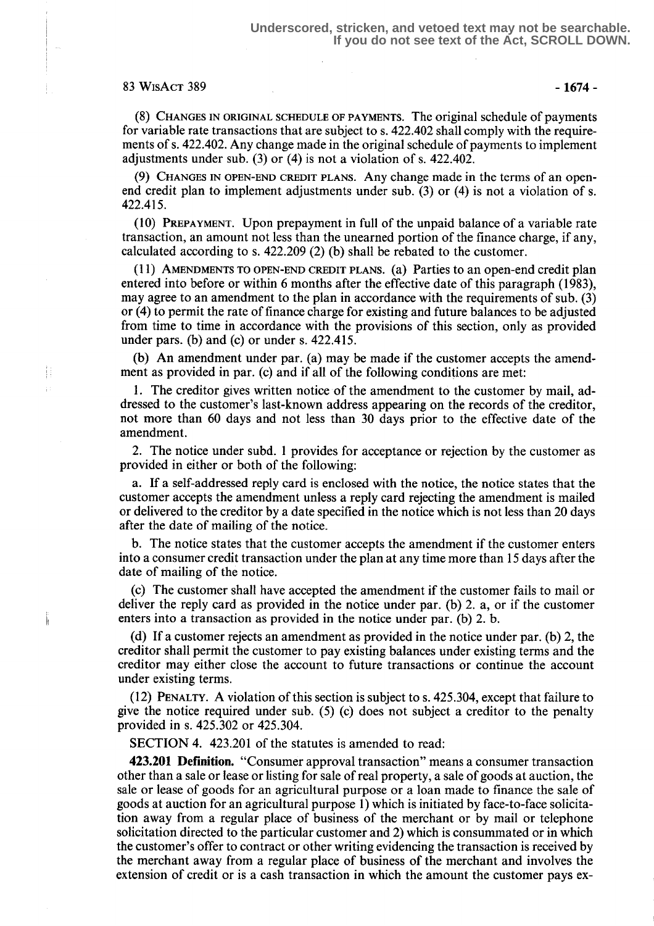### $83 WISACT 389$  -1674 -

Æ

(8) CHANGES IN ORIGINAL SCHEDULE OF PAYMENTS. The original schedule of payments for variable rate transactions that are subject to s. 422.402 shall comply with the requirements of s. 422.402. Any change made in the original schedule of payments to implement adjustments under sub. (3) or  $(4)$  is not a violation of s. 422.402.

(9) CHANGES IN OPEN-END CREDIT PLANS. Any change made in the terms of an openend credit plan to implement adjustments under sub. (3) or (4) is not a violation of s. 422.415 .

(10) PREPAYMENT. Upon prepayment in full of the unpaid balance of a variable rate transaction, an amount not less than the unearned portion of the finance charge, if any, calculated according to s. 422.209 (2) (b) shall be rebated to the customer.

(11) AMENDMENTS TO OPEN-END CREDIT PLANS. (a) Parties to an open-end credit plan entered into before or within 6 months after the effective date of this paragraph (1983), may agree to an amendment to the plan in accordance with the requirements of sub. (3) or (4) to permit the rate of finance charge for existing and future balances to be adjusted from time to time in accordance with the provisions of this section, only as provided under pars. (b) and (c) or under s.  $422.415$ .

(b) An amendment under par. (a) may be made if the customer accepts the amendment as provided in par. (c) and if all of the following conditions are met:

<sup>1</sup> . The creditor gives written notice of the amendment to the customer by mail, addressed to the customer's last-known address appearing on the records of the creditor, not more than 60 days and not less than 30 days prior to the effective date of the amendment.

2. The notice under subd. 1 provides for acceptance or rejection by the customer as provided in either or both of the following:

a. If a self-addressed reply card is enclosed with the notice, the notice states that the customer accepts the amendment unless a reply card rejecting the amendment is mailed or delivered to the creditor by a date specified in the notice which is not less than 20 days after the date of mailing of the notice .

b. The notice states that the customer accepts the amendment if the customer enters into a consumer credit transaction under the plan at any time more than 15 days after the date of mailing of the notice.

(c) The customer shall have accepted the amendment if the customer fails to mail or deliver the reply card as provided in the notice under par. (b) 2. a, or if the customer enters into a transaction as provided in the notice under par. (b) 2. b.

(d) If a customer rejects an amendment as provided in the notice under par. (b) 2, the creditor shall permit the customer to pay existing balances under existing terms and the creditor may either close the account to future transactions or continue the account under existing terms.

(12) PENALTY. A violation of this section is subject to s. 425304, except that failure to give the notice required under sub. (5) (c) does not subject a creditor to the penalty provided in s. 425.302 or 425.304 .

SECTION 4. 423.201 of the statutes is amended to read:

423.201 Definition . "Consumer approval transaction" means a consumer transaction other than a sale or lease or listing for sale of real property, a sale of goods at auction, the sale or lease of goods for an agricultural purpose or a loan made to finance the sale of goods at auction for an agricultural purpose 1) which is initiated by face-to-face solicitation away from a regular place of business of the merchant or by mail or telephone solicitation directed to the particular customer and 2) which is consummated or in which the customer's offer to contract or other writing evidencing the transaction is received by the merchant away from a regular place of business of the merchant and involves the extension of credit or is a cash transaction in which the amount the customer pays ex-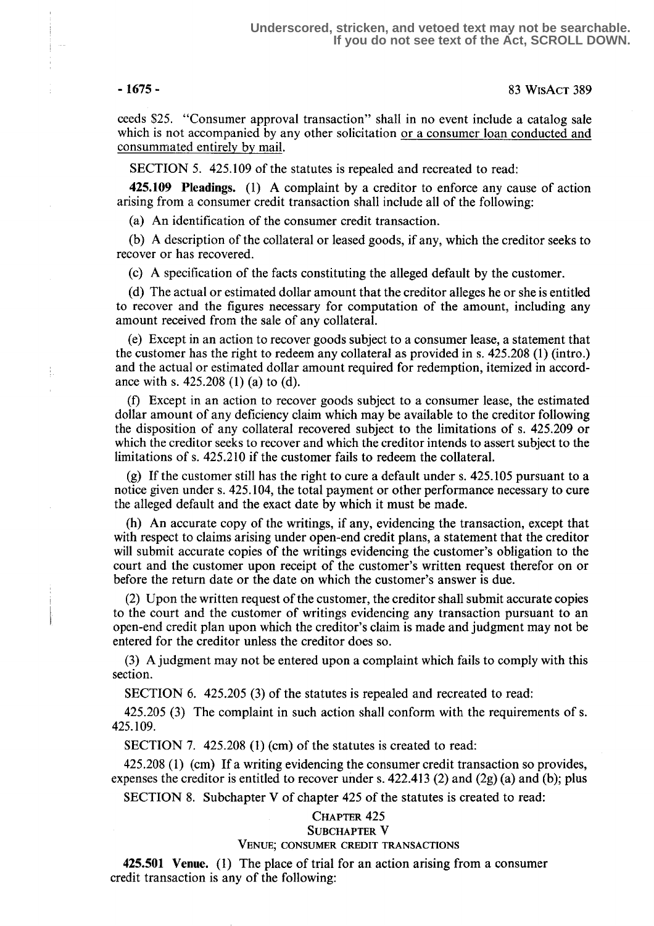÷.

ceeds \$25. "Consumer approval transaction" shall in no event include a catalog sale which is not accompanied by any other solicitation or a consumer loan conducted and consummated entirely by mail.

SECTION 5. 425.109 of the statutes is repealed and recreated to read:

425.109 Pleadings. (1) A complaint by a creditor to enforce any cause of action arising from a consumer credit transaction shall include all of the following:

(a) An identification of the consumer credit transaction.

(b) A description of the collateral or leased goods, if any, which the creditor seeks to recover or has recovered.

(c) A specification of the facts constituting the alleged default by the customer.

(d) The actual or estimated dollar amount that the creditor alleges he or she is entitled to recover and the figures necessary for computation of the amount, including any amount received from the sale of any collateral.

(e) Except in an action to recover goods subject to a consumer lease, a statement that the customer has the right to redeem any collateral as provided in s. 425.208 (1) (intro .) and the actual or estimated dollar amount required for redemption, itemized in accordance with s. 425.208 (1) (a) to (d).

(f) Except in an action to recover goods subject to a consumer lease, the estimated dollar amount of any deficiency claim which may be available to the creditor following the disposition of any collateral recovered subject to the limitations of s. 425 .209 or which the creditor seeks to recover and which the creditor intends to assert subject to the limitations of s. 425.210 if the customer fails to redeem the collateral.

(g) If the customer still has the right to cure a default under s. 425.105 pursuant to a notice given under s. 425 .104, the total payment or other performance necessary to cure the alleged default and the exact date by which it must be made.

(h) An accurate copy of the writings, if any, evidencing the transaction, except that with respect to claims arising under open-end credit plans, a statement that the creditor will submit accurate copies of the writings evidencing the customer's obligation to the court and the customer upon receipt of the customer's written request therefor on or before the return date or the date on which the customer's answer is due.

(2) Upon the written request of the customer, the creditor shall submit accurate copies to the court and the customer of writings evidencing any transaction pursuant to an open-end credit plan upon which the creditor's claim is made and judgment may not be entered for the creditor unless the creditor does so.

(3) A judgment may not be entered upon a complaint which fails to comply with this section.

SECTION 6. 425.205 (3) of the statutes is repealed and recreated to read:

425.205 (3) The complaint in such action shall conform with the requirements of s . 425.109.

SECTION 7. 425.208 (1) (cm) of the statutes is created to read:

425.208 (1) (cm) If a writing evidencing the consumer credit transaction so provides, expenses the creditor is entitled to recover under s.  $422.413$  (2) and (2g) (a) and (b); plus

SECTION 8. Subchapter V of chapter 425 of the statutes is created to read:

# CHAPTER 425

### SUBCHAPTER V

### VENUE; CONSUMER CREDIT TRANSACTIONS

425.501 Venue. (1) The place of trial for an action arising from a consumer credit transaction is any of the following: